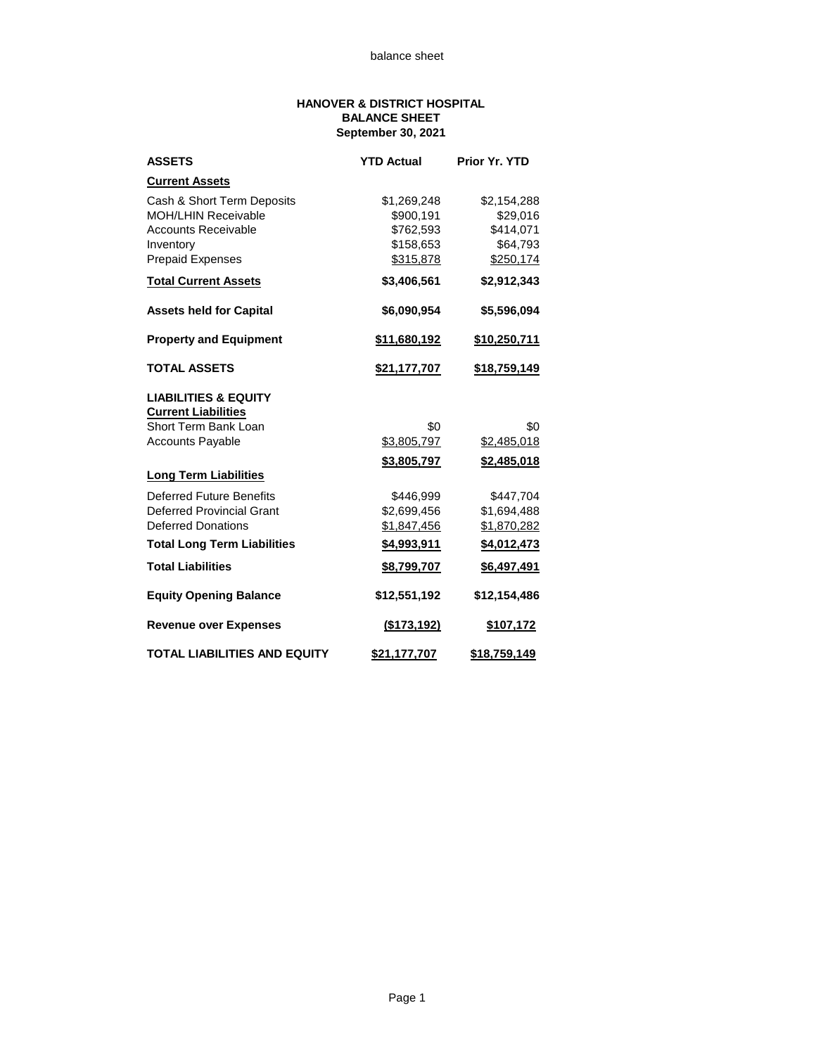## **HANOVER & DISTRICT HOSPITAL BALANCE SHEET September 30, 2021**

| <b>ASSETS</b>                       | <b>YTD Actual</b> | <b>Prior Yr. YTD</b> |  |
|-------------------------------------|-------------------|----------------------|--|
| <b>Current Assets</b>               |                   |                      |  |
| Cash & Short Term Deposits          | \$1,269,248       | \$2,154,288          |  |
| <b>MOH/LHIN Receivable</b>          | \$900,191         | \$29,016             |  |
| <b>Accounts Receivable</b>          | \$762,593         | \$414,071            |  |
| Inventory                           | \$158,653         | \$64,793             |  |
| <b>Prepaid Expenses</b>             | \$315,878         | \$250,174            |  |
| <b>Total Current Assets</b>         | \$3,406,561       | \$2,912,343          |  |
| <b>Assets held for Capital</b>      | \$6,090,954       | \$5,596,094          |  |
| <b>Property and Equipment</b>       | \$11,680,192      | \$10,250,711         |  |
| <b>TOTAL ASSETS</b>                 | \$21,177,707      | \$18,759,149         |  |
| <b>LIABILITIES &amp; EQUITY</b>     |                   |                      |  |
| <b>Current Liabilities</b>          |                   |                      |  |
| Short Term Bank Loan                | \$0               | \$0                  |  |
| <b>Accounts Payable</b>             | \$3,805,797       | \$2,485,018          |  |
|                                     | \$3,805,797       | <u>\$2,485,018</u>   |  |
| <b>Long Term Liabilities</b>        |                   |                      |  |
| <b>Deferred Future Benefits</b>     | \$446,999         | \$447,704            |  |
| <b>Deferred Provincial Grant</b>    | \$2,699,456       | \$1,694,488          |  |
| <b>Deferred Donations</b>           | \$1,847,456       | \$1,870,282          |  |
| <b>Total Long Term Liabilities</b>  | \$4,993,911       | \$4,012,473          |  |
| <b>Total Liabilities</b>            | \$8,799,707       | \$6,497,491          |  |
| <b>Equity Opening Balance</b>       | \$12,551,192      | \$12,154,486         |  |
| <b>Revenue over Expenses</b>        | (\$173,192)       | \$107,172            |  |
| <b>TOTAL LIABILITIES AND EQUITY</b> | \$21,177,707      | \$18,759,149         |  |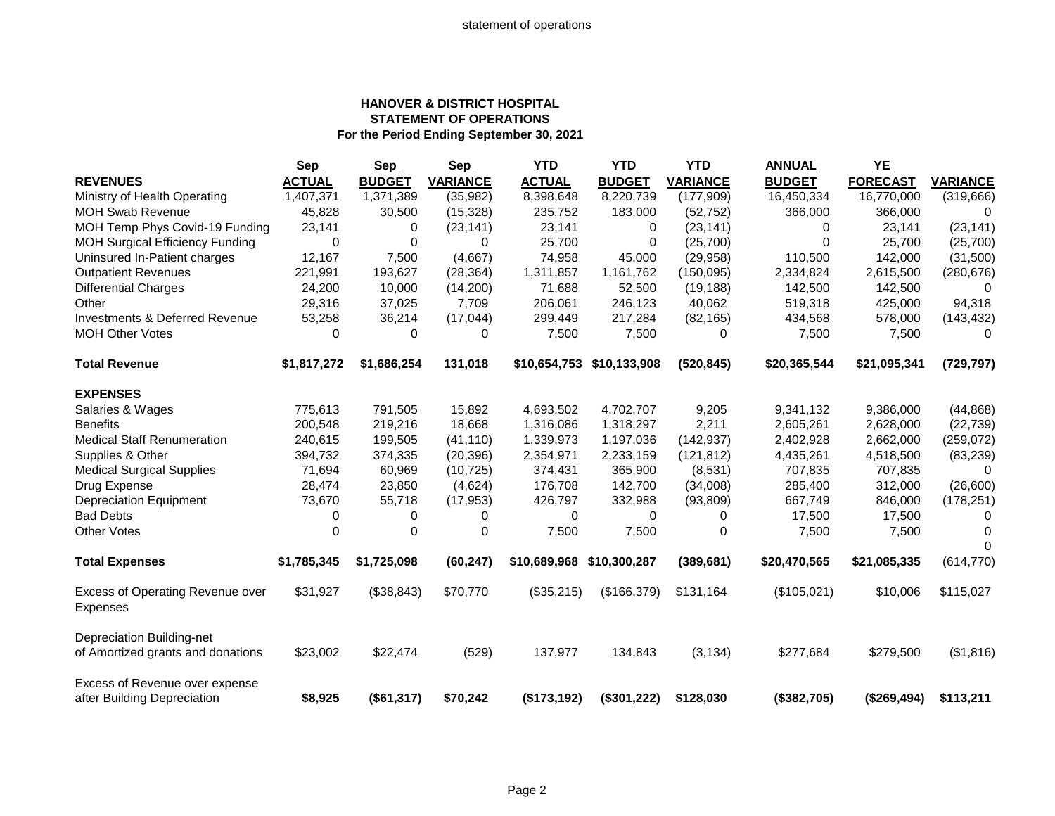## **HANOVER & DISTRICT HOSPITAL STATEMENT OF OPERATIONS For the Period Ending September 30, 2021**

|                                                     | <b>Sep</b>    | <b>Sep</b>    | <b>Sep</b>      | <b>YTD</b>    | YTD                       | YTD             | <b>ANNUAL</b> | $YE$            |                 |
|-----------------------------------------------------|---------------|---------------|-----------------|---------------|---------------------------|-----------------|---------------|-----------------|-----------------|
| <b>REVENUES</b>                                     | <b>ACTUAL</b> | <b>BUDGET</b> | <b>VARIANCE</b> | <b>ACTUAL</b> | <b>BUDGET</b>             | <b>VARIANCE</b> | <b>BUDGET</b> | <b>FORECAST</b> | <b>VARIANCE</b> |
| Ministry of Health Operating                        | 1,407,371     | 1,371,389     | (35,982)        | 8,398,648     | 8,220,739                 | (177,909)       | 16,450,334    | 16,770,000      | (319, 666)      |
| <b>MOH Swab Revenue</b>                             | 45,828        | 30,500        | (15,328)        | 235,752       | 183,000                   | (52, 752)       | 366,000       | 366,000         | $\Omega$        |
| MOH Temp Phys Covid-19 Funding                      | 23,141        | 0             | (23, 141)       | 23,141        | 0                         | (23, 141)       | 0             | 23,141          | (23, 141)       |
| MOH Surgical Efficiency Funding                     | $\Omega$      | 0             | $\Omega$        | 25.700        | $\Omega$                  | (25,700)        | $\Omega$      | 25.700          | (25,700)        |
| Uninsured In-Patient charges                        | 12,167        | 7,500         | (4,667)         | 74,958        | 45,000                    | (29, 958)       | 110,500       | 142,000         | (31,500)        |
| <b>Outpatient Revenues</b>                          | 221,991       | 193,627       | (28, 364)       | 1,311,857     | 1,161,762                 | (150,095)       | 2,334,824     | 2,615,500       | (280, 676)      |
| <b>Differential Charges</b>                         | 24,200        | 10,000        | (14,200)        | 71,688        | 52,500                    | (19, 188)       | 142,500       | 142,500         | $\Omega$        |
| Other                                               | 29,316        | 37,025        | 7,709           | 206,061       | 246,123                   | 40,062          | 519,318       | 425,000         | 94,318          |
| <b>Investments &amp; Deferred Revenue</b>           | 53,258        | 36,214        | (17, 044)       | 299,449       | 217,284                   | (82, 165)       | 434,568       | 578,000         | (143, 432)      |
| <b>MOH Other Votes</b>                              | 0             | 0             | 0               | 7,500         | 7,500                     | 0               | 7,500         | 7,500           | 0               |
| <b>Total Revenue</b>                                | \$1,817,272   | \$1,686,254   | 131,018         |               | \$10,654,753 \$10,133,908 | (520, 845)      | \$20,365,544  | \$21,095,341    | (729, 797)      |
| <b>EXPENSES</b>                                     |               |               |                 |               |                           |                 |               |                 |                 |
| Salaries & Wages                                    | 775,613       | 791,505       | 15,892          | 4,693,502     | 4,702,707                 | 9,205           | 9,341,132     | 9,386,000       | (44, 868)       |
| <b>Benefits</b>                                     | 200,548       | 219,216       | 18,668          | 1,316,086     | 1,318,297                 | 2,211           | 2,605,261     | 2,628,000       | (22, 739)       |
| <b>Medical Staff Renumeration</b>                   | 240,615       | 199,505       | (41, 110)       | 1,339,973     | 1,197,036                 | (142, 937)      | 2,402,928     | 2,662,000       | (259, 072)      |
| Supplies & Other                                    | 394,732       | 374,335       | (20, 396)       | 2,354,971     | 2,233,159                 | (121, 812)      | 4,435,261     | 4,518,500       | (83, 239)       |
| <b>Medical Surgical Supplies</b>                    | 71,694        | 60,969        | (10, 725)       | 374,431       | 365,900                   | (8,531)         | 707,835       | 707,835         | $\Omega$        |
| Drug Expense                                        | 28,474        | 23,850        | (4,624)         | 176,708       | 142,700                   | (34,008)        | 285,400       | 312,000         | (26,600)        |
| <b>Depreciation Equipment</b>                       | 73,670        | 55,718        | (17, 953)       | 426,797       | 332,988                   | (93, 809)       | 667,749       | 846,000         | (178, 251)      |
| <b>Bad Debts</b>                                    | 0             | 0             | 0               | 0             | $\Omega$                  | 0               | 17,500        | 17,500          | $\Omega$        |
| <b>Other Votes</b>                                  | 0             | 0             | 0               | 7,500         | 7,500                     | 0               | 7,500         | 7,500           | 0               |
|                                                     |               |               |                 |               |                           |                 |               |                 |                 |
| <b>Total Expenses</b>                               | \$1,785,345   | \$1,725,098   | (60, 247)       | \$10,689,968  | \$10,300,287              | (389, 681)      | \$20,470,565  | \$21,085,335    | (614, 770)      |
| Excess of Operating Revenue over<br><b>Expenses</b> | \$31,927      | (\$38,843)    | \$70,770        | (\$35,215)    | (\$166,379)               | \$131,164       | (\$105,021)   | \$10,006        | \$115,027       |
| Depreciation Building-net                           |               |               |                 |               |                           |                 |               |                 |                 |
| of Amortized grants and donations                   | \$23,002      | \$22,474      | (529)           | 137,977       | 134,843                   | (3, 134)        | \$277,684     | \$279,500       | (\$1,816)       |
| Excess of Revenue over expense                      |               |               |                 |               |                           |                 |               |                 |                 |
| after Building Depreciation                         | \$8,925       | (\$61,317)    | \$70,242        | (\$173,192)   | (\$301,222)               | \$128,030       | (\$382,705)   | (\$269,494)     | \$113,211       |